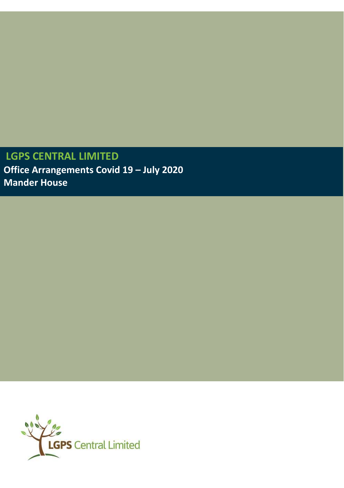**LGPS CENTRAL LIMITED Office Arrangements Covid 19 – July 2020 Mander House** 

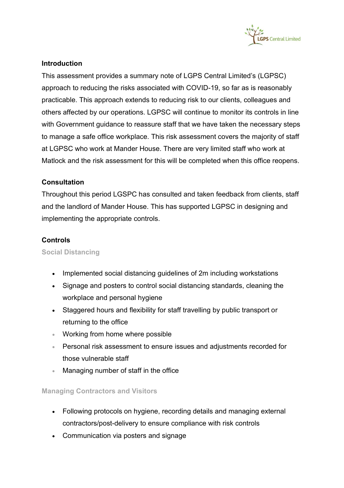

# **Introduction**

This assessment provides a summary note of LGPS Central Limited's (LGPSC) approach to reducing the risks associated with COVID-19, so far as is reasonably practicable. This approach extends to reducing risk to our clients, colleagues and others affected by our operations. LGPSC will continue to monitor its controls in line with Government guidance to reassure staff that we have taken the necessary steps to manage a safe office workplace. This risk assessment covers the majority of staff at LGPSC who work at Mander House. There are very limited staff who work at Matlock and the risk assessment for this will be completed when this office reopens.

# **Consultation**

Throughout this period LGSPC has consulted and taken feedback from clients, staff and the landlord of Mander House. This has supported LGPSC in designing and implementing the appropriate controls.

# **Controls**

**Social Distancing**

- Implemented social distancing guidelines of 2m including workstations
- Signage and posters to control social distancing standards, cleaning the workplace and personal hygiene
- Staggered hours and flexibility for staff travelling by public transport or returning to the office
- Working from home where possible
- Personal risk assessment to ensure issues and adjustments recorded for those vulnerable staff
- Managing number of staff in the office

# **Managing Contractors and Visitors**

- Following protocols on hygiene, recording details and managing external contractors/post-delivery to ensure compliance with risk controls
- Communication via posters and signage